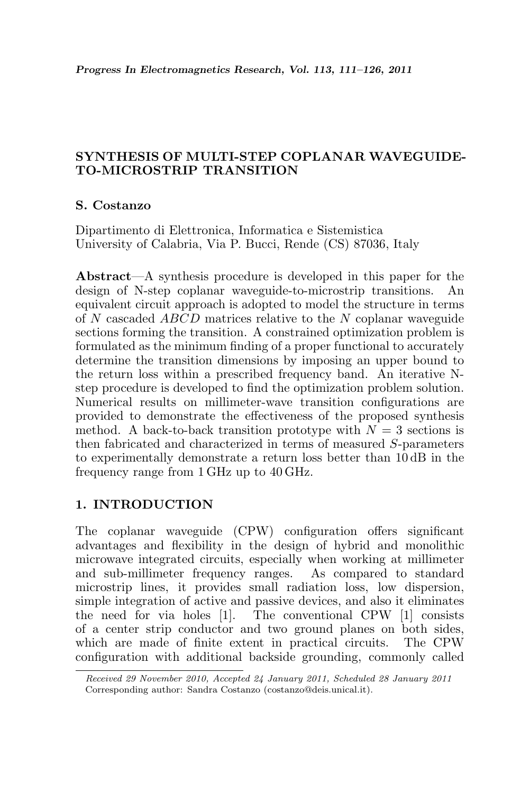# SYNTHESIS OF MULTI-STEP COPLANAR WAVEGUIDE-TO-MICROSTRIP TRANSITION

## S. Costanzo

Dipartimento di Elettronica, Informatica e Sistemistica University of Calabria, Via P. Bucci, Rende (CS) 87036, Italy

Abstract—A synthesis procedure is developed in this paper for the design of N-step coplanar waveguide-to-microstrip transitions. An equivalent circuit approach is adopted to model the structure in terms of N cascaded ABCD matrices relative to the N coplanar waveguide sections forming the transition. A constrained optimization problem is formulated as the minimum finding of a proper functional to accurately determine the transition dimensions by imposing an upper bound to the return loss within a prescribed frequency band. An iterative Nstep procedure is developed to find the optimization problem solution. Numerical results on millimeter-wave transition configurations are provided to demonstrate the effectiveness of the proposed synthesis method. A back-to-back transition prototype with  $N = 3$  sections is then fabricated and characterized in terms of measured S-parameters to experimentally demonstrate a return loss better than 10 dB in the frequency range from 1 GHz up to 40 GHz.

# 1. INTRODUCTION

The coplanar waveguide (CPW) configuration offers significant advantages and flexibility in the design of hybrid and monolithic microwave integrated circuits, especially when working at millimeter and sub-millimeter frequency ranges. As compared to standard microstrip lines, it provides small radiation loss, low dispersion, simple integration of active and passive devices, and also it eliminates the need for via holes [1]. The conventional CPW [1] consists of a center strip conductor and two ground planes on both sides, which are made of finite extent in practical circuits. The CPW configuration with additional backside grounding, commonly called

Received 29 November 2010, Accepted 24 January 2011, Scheduled 28 January 2011 Corresponding author: Sandra Costanzo (costanzo@deis.unical.it).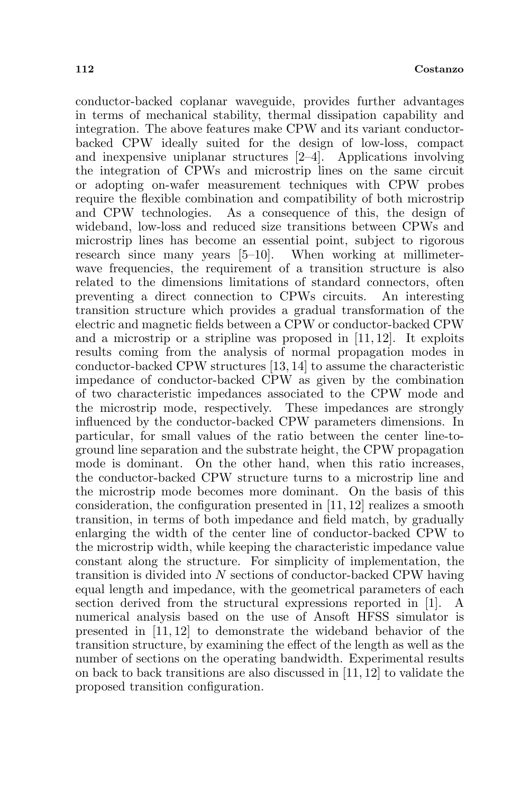conductor-backed coplanar waveguide, provides further advantages in terms of mechanical stability, thermal dissipation capability and integration. The above features make CPW and its variant conductorbacked CPW ideally suited for the design of low-loss, compact and inexpensive uniplanar structures [2–4]. Applications involving the integration of CPWs and microstrip lines on the same circuit or adopting on-wafer measurement techniques with CPW probes require the flexible combination and compatibility of both microstrip and CPW technologies. As a consequence of this, the design of wideband, low-loss and reduced size transitions between CPWs and microstrip lines has become an essential point, subject to rigorous research since many years [5–10]. When working at millimeterwave frequencies, the requirement of a transition structure is also related to the dimensions limitations of standard connectors, often preventing a direct connection to CPWs circuits. An interesting transition structure which provides a gradual transformation of the electric and magnetic fields between a CPW or conductor-backed CPW and a microstrip or a stripline was proposed in [11, 12]. It exploits results coming from the analysis of normal propagation modes in conductor-backed CPW structures [13, 14] to assume the characteristic impedance of conductor-backed CPW as given by the combination of two characteristic impedances associated to the CPW mode and the microstrip mode, respectively. These impedances are strongly influenced by the conductor-backed CPW parameters dimensions. In particular, for small values of the ratio between the center line-toground line separation and the substrate height, the CPW propagation mode is dominant. On the other hand, when this ratio increases, the conductor-backed CPW structure turns to a microstrip line and the microstrip mode becomes more dominant. On the basis of this consideration, the configuration presented in [11, 12] realizes a smooth transition, in terms of both impedance and field match, by gradually enlarging the width of the center line of conductor-backed CPW to the microstrip width, while keeping the characteristic impedance value constant along the structure. For simplicity of implementation, the transition is divided into N sections of conductor-backed CPW having equal length and impedance, with the geometrical parameters of each section derived from the structural expressions reported in [1]. A numerical analysis based on the use of Ansoft HFSS simulator is presented in [11, 12] to demonstrate the wideband behavior of the transition structure, by examining the effect of the length as well as the number of sections on the operating bandwidth. Experimental results on back to back transitions are also discussed in [11, 12] to validate the proposed transition configuration.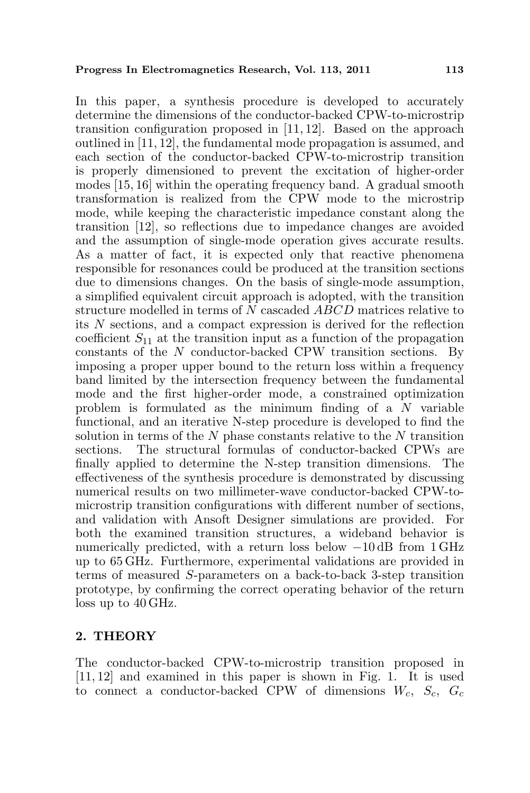In this paper, a synthesis procedure is developed to accurately determine the dimensions of the conductor-backed CPW-to-microstrip transition configuration proposed in [11, 12]. Based on the approach outlined in [11, 12], the fundamental mode propagation is assumed, and each section of the conductor-backed CPW-to-microstrip transition is properly dimensioned to prevent the excitation of higher-order modes [15, 16] within the operating frequency band. A gradual smooth transformation is realized from the CPW mode to the microstrip mode, while keeping the characteristic impedance constant along the transition [12], so reflections due to impedance changes are avoided and the assumption of single-mode operation gives accurate results. As a matter of fact, it is expected only that reactive phenomena responsible for resonances could be produced at the transition sections due to dimensions changes. On the basis of single-mode assumption, a simplified equivalent circuit approach is adopted, with the transition structure modelled in terms of N cascaded ABCD matrices relative to its N sections, and a compact expression is derived for the reflection coefficient  $S_{11}$  at the transition input as a function of the propagation constants of the N conductor-backed CPW transition sections. By imposing a proper upper bound to the return loss within a frequency band limited by the intersection frequency between the fundamental mode and the first higher-order mode, a constrained optimization problem is formulated as the minimum finding of a  $N$  variable functional, and an iterative N-step procedure is developed to find the solution in terms of the  $N$  phase constants relative to the  $N$  transition sections. The structural formulas of conductor-backed CPWs are finally applied to determine the N-step transition dimensions. The effectiveness of the synthesis procedure is demonstrated by discussing numerical results on two millimeter-wave conductor-backed CPW-tomicrostrip transition configurations with different number of sections, and validation with Ansoft Designer simulations are provided. For both the examined transition structures, a wideband behavior is numerically predicted, with a return loss below  $-10$  dB from 1 GHz up to 65 GHz. Furthermore, experimental validations are provided in terms of measured S-parameters on a back-to-back 3-step transition prototype, by confirming the correct operating behavior of the return loss up to 40 GHz.

## 2. THEORY

The conductor-backed CPW-to-microstrip transition proposed in [11, 12] and examined in this paper is shown in Fig. 1. It is used to connect a conductor-backed CPW of dimensions  $W_c$ ,  $S_c$ ,  $G_c$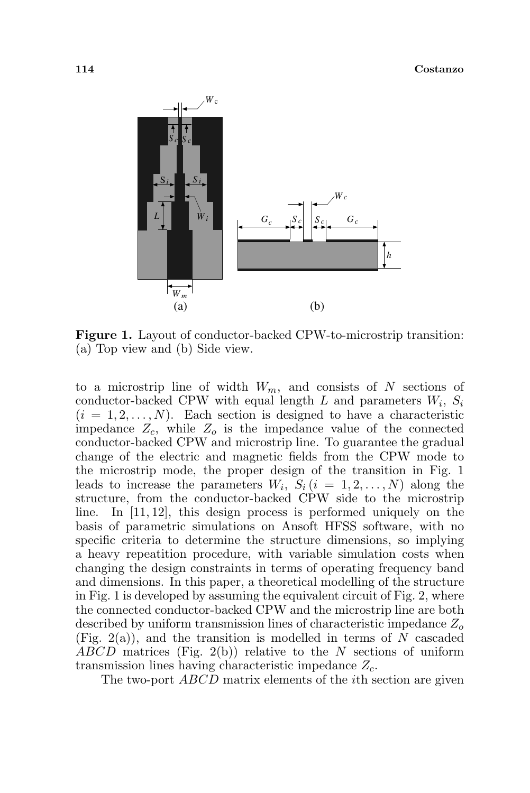

Figure 1. Layout of conductor-backed CPW-to-microstrip transition: (a) Top view and (b) Side view.

to a microstrip line of width  $W_m$ , and consists of N sections of conductor-backed CPW with equal length  $L$  and parameters  $W_i$ ,  $S_i$  $(i = 1, 2, \ldots, N)$ . Each section is designed to have a characteristic impedance  $Z_c$ , while  $Z_o$  is the impedance value of the connected conductor-backed CPW and microstrip line. To guarantee the gradual change of the electric and magnetic fields from the CPW mode to the microstrip mode, the proper design of the transition in Fig. 1 leads to increase the parameters  $W_i, S_i$   $(i = 1, 2, ..., N)$  along the structure, from the conductor-backed CPW side to the microstrip line. In [11, 12], this design process is performed uniquely on the basis of parametric simulations on Ansoft HFSS software, with no specific criteria to determine the structure dimensions, so implying a heavy repeatition procedure, with variable simulation costs when changing the design constraints in terms of operating frequency band and dimensions. In this paper, a theoretical modelling of the structure in Fig. 1 is developed by assuming the equivalent circuit of Fig. 2, where the connected conductor-backed CPW and the microstrip line are both described by uniform transmission lines of characteristic impedance  $Z<sub>o</sub>$  $(Fig. 2(a))$ , and the transition is modelled in terms of N cascaded  $ABCD$  matrices (Fig. 2(b)) relative to the N sections of uniform transmission lines having characteristic impedance  $Z_c$ .

The two-port *ABCD* matrix elements of the *i*th section are given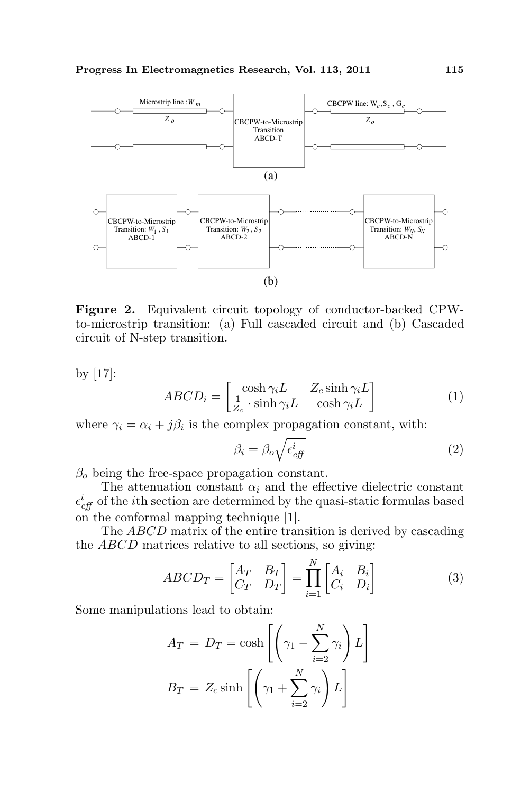

Figure 2. Equivalent circuit topology of conductor-backed CPWto-microstrip transition: (a) Full cascaded circuit and (b) Cascaded circuit of N-step transition.

by [17]:

$$
ABCD_i = \begin{bmatrix} \cosh \gamma_i L & Z_c \sinh \gamma_i L \\ \frac{1}{Z_c} \cdot \sinh \gamma_i L & \cosh \gamma_i L \end{bmatrix}
$$
 (1)

where  $\gamma_i = \alpha_i + j\beta_i$  is the complex propagation constant, with:

$$
\beta_i = \beta_o \sqrt{\epsilon_{eff}^i}
$$
 (2)

 $\beta_o$  being the free-space propagation constant.

The attenuation constant  $\alpha_i$  and the effective dielectric constant  $\epsilon_{\text{eff}}^{i}$  of the *i*<sup>th</sup> section are determined by the quasi-static formulas based on the conformal mapping technique [1].

The ABCD matrix of the entire transition is derived by cascading the ABCD matrices relative to all sections, so giving:

$$
ABCD_T = \begin{bmatrix} A_T & B_T \\ C_T & D_T \end{bmatrix} = \prod_{i=1}^N \begin{bmatrix} A_i & B_i \\ C_i & D_i \end{bmatrix} \tag{3}
$$

Some manipulations lead to obtain:

$$
A_T = D_T = \cosh\left[\left(\gamma_1 - \sum_{i=2}^N \gamma_i\right)L\right]
$$

$$
B_T = Z_c \sinh\left[\left(\gamma_1 + \sum_{i=2}^N \gamma_i\right)L\right]
$$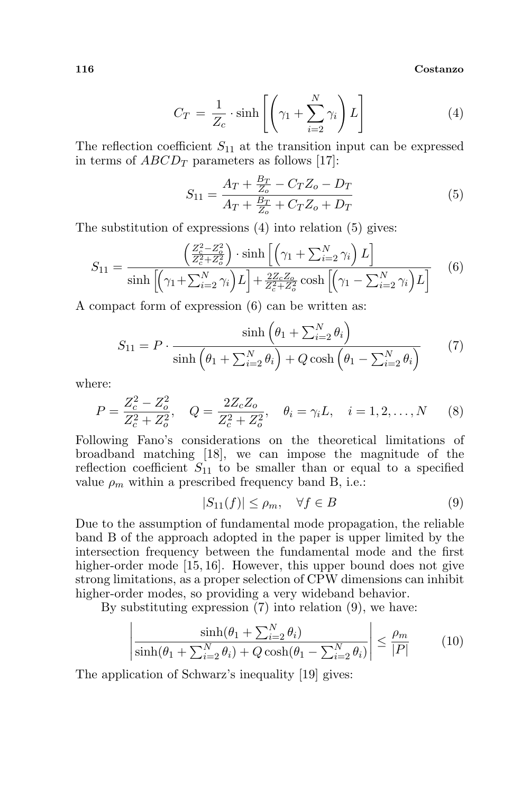116 Costanzo

$$
C_T = \frac{1}{Z_c} \cdot \sinh\left[\left(\gamma_1 + \sum_{i=2}^N \gamma_i\right) L\right]
$$
 (4)

The reflection coefficient  $S_{11}$  at the transition input can be expressed in terms of  $ABCD_T$  parameters as follows [17]:

$$
S_{11} = \frac{A_T + \frac{B_T}{Z_o} - C_T Z_o - D_T}{A_T + \frac{B_T}{Z_o} + C_T Z_o + D_T}
$$
(5)

The substitution of expressions (4) into relation (5) gives:

$$
S_{11} = \frac{\left(\frac{Z_c^2 - Z_o^2}{Z_c^2 + Z_o^2}\right) \cdot \sinh\left[\left(\gamma_1 + \sum_{i=2}^N \gamma_i\right) L\right]}{\sinh\left[\left(\gamma_1 + \sum_{i=2}^N \gamma_i\right) L\right] + \frac{2Z_c Z_o}{Z_c^2 + Z_o^2} \cosh\left[\left(\gamma_1 - \sum_{i=2}^N \gamma_i\right) L\right]} \tag{6}
$$

A compact form of expression (6) can be written as:

$$
S_{11} = P \cdot \frac{\sinh\left(\theta_1 + \sum_{i=2}^N \theta_i\right)}{\sinh\left(\theta_1 + \sum_{i=2}^N \theta_i\right) + Q \cosh\left(\theta_1 - \sum_{i=2}^N \theta_i\right)}\tag{7}
$$

where:

$$
P = \frac{Z_c^2 - Z_o^2}{Z_c^2 + Z_o^2}, \quad Q = \frac{2Z_cZ_o}{Z_c^2 + Z_o^2}, \quad \theta_i = \gamma_i L, \quad i = 1, 2, \dots, N \tag{8}
$$

Following Fano's considerations on the theoretical limitations of broadband matching [18], we can impose the magnitude of the reflection coefficient  $S_{11}$  to be smaller than or equal to a specified value  $\rho_m$  within a prescribed frequency band B, i.e.:

$$
|S_{11}(f)| \le \rho_m, \quad \forall f \in B \tag{9}
$$

Due to the assumption of fundamental mode propagation, the reliable band B of the approach adopted in the paper is upper limited by the intersection frequency between the fundamental mode and the first higher-order mode [15, 16]. However, this upper bound does not give strong limitations, as a proper selection of CPW dimensions can inhibit higher-order modes, so providing a very wideband behavior.

By substituting expression (7) into relation (9), we have:  $\overline{a}$ 

$$
\left| \frac{\sinh(\theta_1 + \sum_{i=2}^N \theta_i)}{\sinh(\theta_1 + \sum_{i=2}^N \theta_i) + Q \cosh(\theta_1 - \sum_{i=2}^N \theta_i)} \right| \le \frac{\rho_m}{|P|} \tag{10}
$$

The application of Schwarz's inequality [19] gives: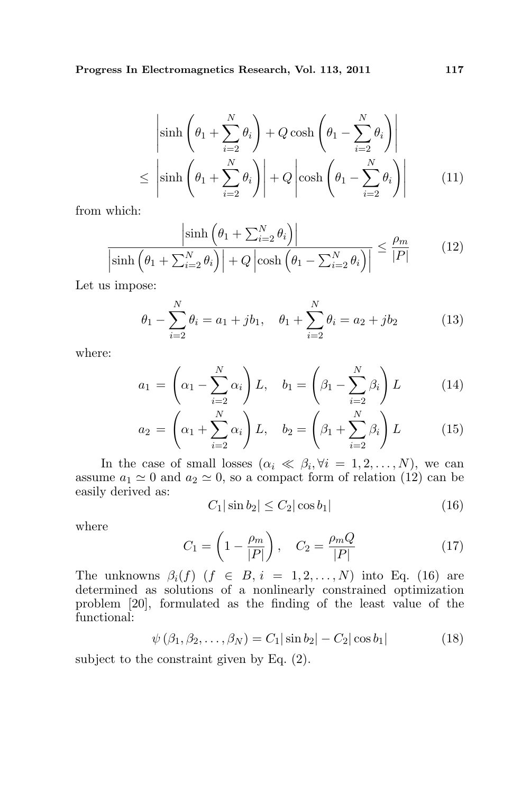$$
\left| \sinh \left( \theta_1 + \sum_{i=2}^N \theta_i \right) + Q \cosh \left( \theta_1 - \sum_{i=2}^N \theta_i \right) \right|
$$
  

$$
\leq \left| \sinh \left( \theta_1 + \sum_{i=2}^N \theta_i \right) \right| + Q \left| \cosh \left( \theta_1 - \sum_{i=2}^N \theta_i \right) \right| \qquad (11)
$$

from which:

$$
\frac{\left|\sinh\left(\theta_{1} + \sum_{i=2}^{N} \theta_{i}\right)\right|}{\left|\sinh\left(\theta_{1} + \sum_{i=2}^{N} \theta_{i}\right)\right| + Q\left|\cosh\left(\theta_{1} - \sum_{i=2}^{N} \theta_{i}\right)\right|} \leq \frac{\rho_{m}}{|P|} \tag{12}
$$

Let us impose:

$$
\theta_1 - \sum_{i=2}^{N} \theta_i = a_1 + jb_1, \quad \theta_1 + \sum_{i=2}^{N} \theta_i = a_2 + jb_2 \tag{13}
$$

where:

$$
a_1 = \left(\alpha_1 - \sum_{i=2}^N \alpha_i\right) L, \quad b_1 = \left(\beta_1 - \sum_{i=2}^N \beta_i\right) L \tag{14}
$$

$$
a_2 = \left(\alpha_1 + \sum_{i=2}^{N} \alpha_i\right) L, \quad b_2 = \left(\beta_1 + \sum_{i=2}^{N} \beta_i\right) L \tag{15}
$$

In the case of small losses  $(\alpha_i \ll \beta_i, \forall i = 1, 2, ..., N)$ , we can assume  $a_1 \simeq 0$  and  $a_2 \simeq 0$ , so a compact form of relation (12) can be easily derived as:

$$
C_1|\sin b_2| \le C_2|\cos b_1| \tag{16}
$$

where

$$
C_1 = \left(1 - \frac{\rho_m}{|P|}\right), \quad C_2 = \frac{\rho_m Q}{|P|} \tag{17}
$$

The unknowns  $\beta_i(f)$   $(f \in B, i = 1, 2, ..., N)$  into Eq. (16) are determined as solutions of a nonlinearly constrained optimization problem [20], formulated as the finding of the least value of the functional:

$$
\psi(\beta_1, \beta_2, \dots, \beta_N) = C_1 |\sin b_2| - C_2 |\cos b_1| \tag{18}
$$

subject to the constraint given by Eq. (2).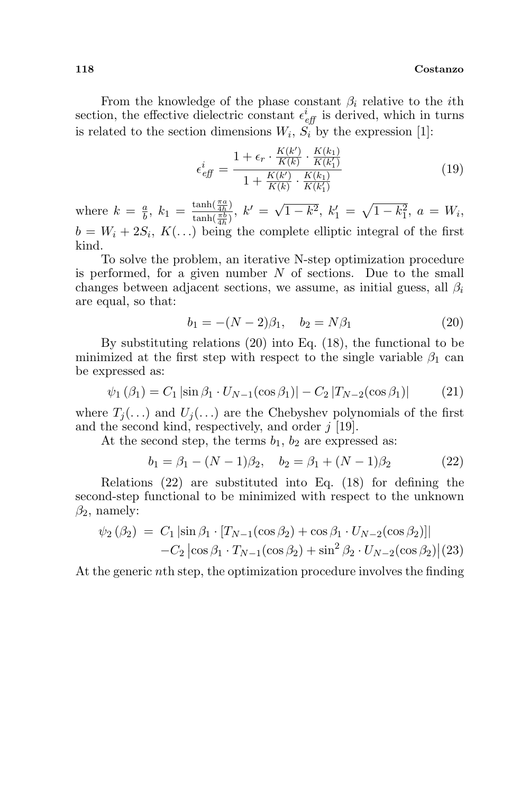#### 118 Costanzo

From the knowledge of the phase constant  $\beta_i$  relative to the *i*th section, the effective dielectric constant  $\epsilon_{\text{eff}}^{i}$  is derived, which in turns is related to the section dimensions  $W_i$ ,  $S_i$  by the expression [1]:

$$
\epsilon_{\text{eff}}^{i} = \frac{1 + \epsilon_r \cdot \frac{K(k')}{K(k)} \cdot \frac{K(k_1)}{K(k_1')}}{1 + \frac{K(k')}{K(k)} \cdot \frac{K(k_1)}{K(k_1')}}\tag{19}
$$

where  $k = \frac{a}{b}$  $\frac{a}{b}$ ,  $k_1 = \frac{\tanh(\frac{\pi a}{4h})}{\tanh(\frac{\pi b}{b})}$  $\frac{\tanh(\frac{\pi a}{4h})}{\tanh(\frac{\pi b}{4h})}, k' = \sqrt{\tanh(\frac{\pi b}{4h})}$  $\overline{1-k^2}, k'_1 =$  $\mathcal{L}$  $\overline{1-k_1^2}, \ a = W_i,$  $b = W_i + 2S_i, K(\ldots)$  being the complete elliptic integral of the first kind.

To solve the problem, an iterative N-step optimization procedure is performed, for a given number  $N$  of sections. Due to the small changes between adjacent sections, we assume, as initial guess, all  $\beta_i$ are equal, so that:

$$
b_1 = -(N-2)\beta_1, \quad b_2 = N\beta_1 \tag{20}
$$

By substituting relations (20) into Eq. (18), the functional to be minimized at the first step with respect to the single variable  $\beta_1$  can be expressed as:

$$
\psi_1(\beta_1) = C_1 \left| \sin \beta_1 \cdot U_{N-1}(\cos \beta_1) \right| - C_2 \left| T_{N-2}(\cos \beta_1) \right| \tag{21}
$$

where  $T_i(\ldots)$  and  $U_i(\ldots)$  are the Chebyshev polynomials of the first and the second kind, respectively, and order  $j$  [19].

At the second step, the terms  $b_1$ ,  $b_2$  are expressed as:

$$
b_1 = \beta_1 - (N - 1)\beta_2, \quad b_2 = \beta_1 + (N - 1)\beta_2 \tag{22}
$$

Relations (22) are substituted into Eq. (18) for defining the second-step functional to be minimized with respect to the unknown  $\beta_2$ , namely:

$$
\psi_2(\beta_2) = C_1 \left| \sin \beta_1 \cdot [T_{N-1}(\cos \beta_2) + \cos \beta_1 \cdot U_{N-2}(\cos \beta_2)] \right|
$$
  
-C<sub>2</sub>  $\left| \cos \beta_1 \cdot T_{N-1}(\cos \beta_2) + \sin^2 \beta_2 \cdot U_{N-2}(\cos \beta_2) \right| (23)$ 

At the generic nth step, the optimization procedure involves the finding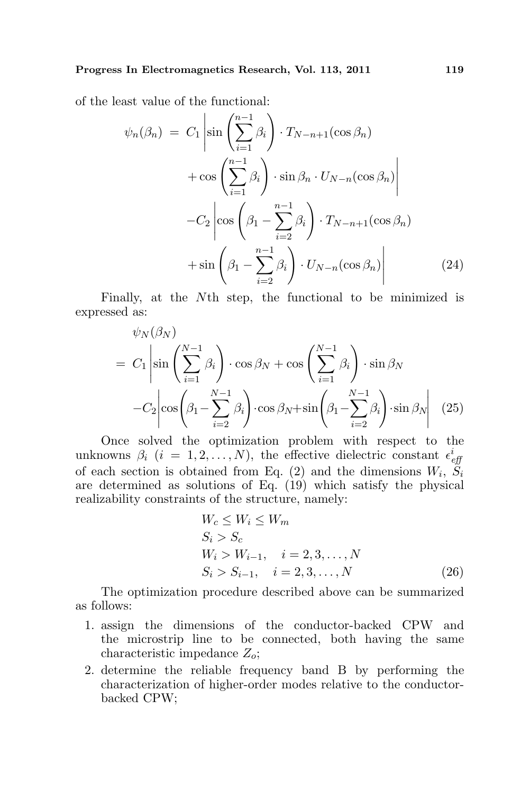of the least value of the functional: ¯

$$
\psi_n(\beta_n) = C_1 \left| \sin \left( \sum_{i=1}^{n-1} \beta_i \right) \cdot T_{N-n+1}(\cos \beta_n) + \cos \left( \sum_{i=1}^{n-1} \beta_i \right) \cdot \sin \beta_n \cdot U_{N-n}(\cos \beta_n) \right|
$$

$$
-C_2 \left| \cos \left( \beta_1 - \sum_{i=2}^{n-1} \beta_i \right) \cdot T_{N-n+1}(\cos \beta_n) + \sin \left( \beta_1 - \sum_{i=2}^{n-1} \beta_i \right) \cdot U_{N-n}(\cos \beta_n) \right| \tag{24}
$$

Finally, at the Nth step, the functional to be minimized is expressed as:

$$
\psi_N(\beta_N) = C_1 \left| \sin \left( \sum_{i=1}^{N-1} \beta_i \right) \cdot \cos \beta_N + \cos \left( \sum_{i=1}^{N-1} \beta_i \right) \cdot \sin \beta_N - C_2 \left| \cos \left( \beta_1 - \sum_{i=2}^{N-1} \beta_i \right) \cdot \cos \beta_N + \sin \left( \beta_1 - \sum_{i=2}^{N-1} \beta_i \right) \cdot \sin \beta_N \right| \tag{25}
$$

Once solved the optimization problem with respect to the unknowns  $\beta_i$  (i = 1,2, ..., N), the effective dielectric constant  $\epsilon_{\text{eff}}^i$ of each section is obtained from Eq. (2) and the dimensions  $W_i$ ,  $\tilde{S}_i$ are determined as solutions of Eq. (19) which satisfy the physical realizability constraints of the structure, namely:

$$
W_c \le W_i \le W_m
$$
  
\n
$$
S_i > S_c
$$
  
\n
$$
W_i > W_{i-1}, \quad i = 2, 3, ..., N
$$
  
\n
$$
S_i > S_{i-1}, \quad i = 2, 3, ..., N
$$
 (26)

The optimization procedure described above can be summarized as follows:

- 1. assign the dimensions of the conductor-backed CPW and the microstrip line to be connected, both having the same characteristic impedance  $Z_o$ ;
- 2. determine the reliable frequency band B by performing the characterization of higher-order modes relative to the conductorbacked CPW;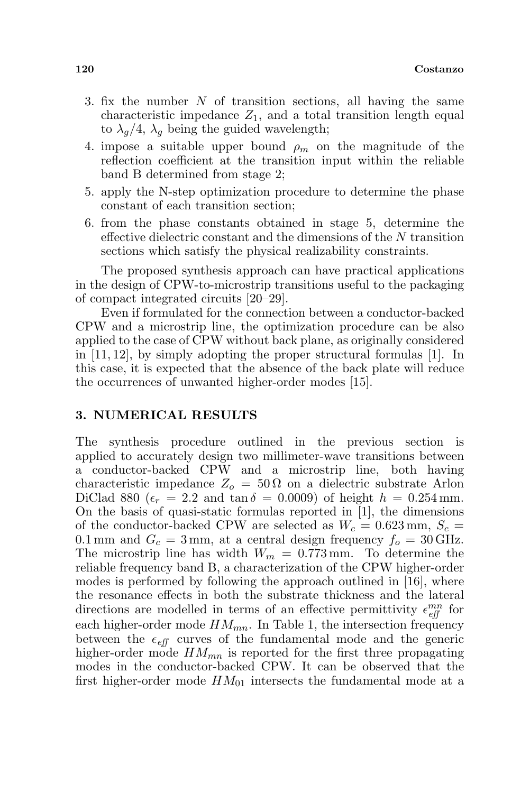- 3. fix the number N of transition sections, all having the same characteristic impedance  $Z_1$ , and a total transition length equal to  $\lambda_q/4$ ,  $\lambda_q$  being the guided wavelength;
- 4. impose a suitable upper bound  $\rho_m$  on the magnitude of the reflection coefficient at the transition input within the reliable band B determined from stage 2;
- 5. apply the N-step optimization procedure to determine the phase constant of each transition section;
- 6. from the phase constants obtained in stage 5, determine the effective dielectric constant and the dimensions of the N transition sections which satisfy the physical realizability constraints.

The proposed synthesis approach can have practical applications in the design of CPW-to-microstrip transitions useful to the packaging of compact integrated circuits [20–29].

Even if formulated for the connection between a conductor-backed CPW and a microstrip line, the optimization procedure can be also applied to the case of CPW without back plane, as originally considered in  $[11, 12]$ , by simply adopting the proper structural formulas  $[1]$ . In this case, it is expected that the absence of the back plate will reduce the occurrences of unwanted higher-order modes [15].

### 3. NUMERICAL RESULTS

The synthesis procedure outlined in the previous section is applied to accurately design two millimeter-wave transitions between a conductor-backed CPW and a microstrip line, both having characteristic impedance  $Z_0 = 50 \Omega$  on a dielectric substrate Arlon DiClad 880 ( $\epsilon_r = 2.2$  and  $\tan \delta = 0.0009$ ) of height  $h = 0.254$  mm. On the basis of quasi-static formulas reported in [1], the dimensions of the conductor-backed CPW are selected as  $W_c = 0.623$  mm,  $S_c =$ 0.1 mm and  $G_c = 3$  mm, at a central design frequency  $f_o = 30$  GHz. The microstrip line has width  $W_m = 0.773$  mm. To determine the reliable frequency band B, a characterization of the CPW higher-order modes is performed by following the approach outlined in [16], where the resonance effects in both the substrate thickness and the lateral directions are modelled in terms of an effective permittivity  $\epsilon_{\text{eff}}^{mn}$  for each higher-order mode  $HM_{mn}$ . In Table 1, the intersection frequency between the  $\epsilon_{\text{eff}}$  curves of the fundamental mode and the generic higher-order mode  $HM_{mn}$  is reported for the first three propagating modes in the conductor-backed CPW. It can be observed that the first higher-order mode  $HM_{01}$  intersects the fundamental mode at a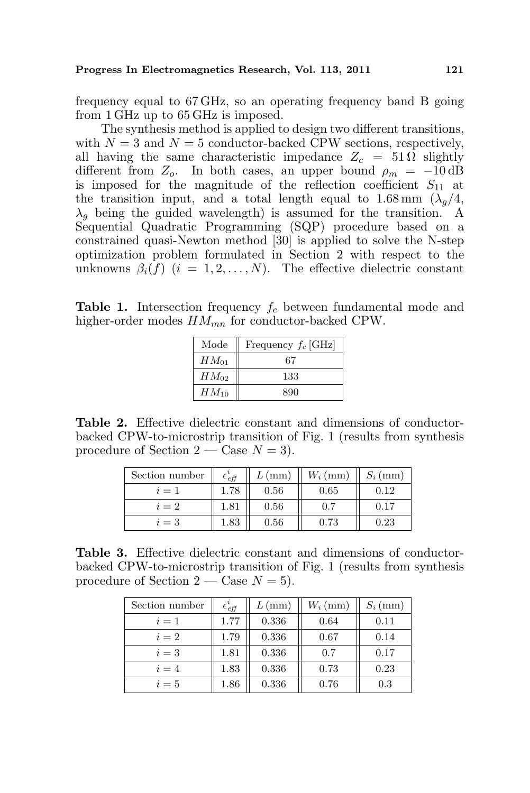frequency equal to 67 GHz, so an operating frequency band B going from 1 GHz up to 65 GHz is imposed.

The synthesis method is applied to design two different transitions, with  $N = 3$  and  $N = 5$  conductor-backed CPW sections, respectively, all having the same characteristic impedance  $Z_c = 51 \Omega$  slightly different from  $Z_o$ . In both cases, an upper bound  $\rho_m = -10 \text{ dB}$ is imposed for the magnitude of the reflection coefficient  $S_{11}$  at the transition input, and a total length equal to  $1.68 \text{ mm } (\lambda_q/4,$  $\lambda_g$  being the guided wavelength) is assumed for the transition. A Sequential Quadratic Programming (SQP) procedure based on a constrained quasi-Newton method [30] is applied to solve the N-step optimization problem formulated in Section 2 with respect to the unknowns  $\beta_i(f)$   $(i = 1, 2, ..., N)$ . The effective dielectric constant

**Table 1.** Intersection frequency  $f_c$  between fundamental mode and higher-order modes  $HM_{mn}$  for conductor-backed CPW.

| Mode      | Frequency $f_c$ [GHz] |
|-----------|-----------------------|
| $HM_{01}$ | 67                    |
| $HM_{02}$ | 133                   |
| $HM_{10}$ | 890                   |

Table 2. Effective dielectric constant and dimensions of conductorbacked CPW-to-microstrip transition of Fig. 1 (results from synthesis procedure of Section  $2 - \text{Case } N = 3$ .

| Section number | $\epsilon_{\textit{eff}}$ | $L$ (mm) | $W_i$ (mm) | $S_i$ (mm) |
|----------------|---------------------------|----------|------------|------------|
| $i=1$          | 1.78                      | 0.56     | 0.65       | 0.12       |
| $i=2$          | 1.81                      | 0.56     | 0.7        | 0.17       |
| $i=3$          | 1.83                      | 0.56     | 0.73       | 0.23       |

Table 3. Effective dielectric constant and dimensions of conductorbacked CPW-to-microstrip transition of Fig. 1 (results from synthesis procedure of Section  $2 - \text{Case } N = 5$ .

| Section number | $\epsilon_{\it eff}$ | $L$ (mm) | $W_i$ (mm) | $S_i$ (mm) |
|----------------|----------------------|----------|------------|------------|
| $i=1$          | 1.77                 | 0.336    | 0.64       | 0.11       |
| $i=2$          | 1.79                 | 0.336    | 0.67       | 0.14       |
| $i=3$          | 1.81                 | 0.336    | 0.7        | 0.17       |
| $i=4$          | 1.83                 | 0.336    | 0.73       | 0.23       |
| $i=5$          | 1.86                 | 0.336    | 0.76       | 0.3        |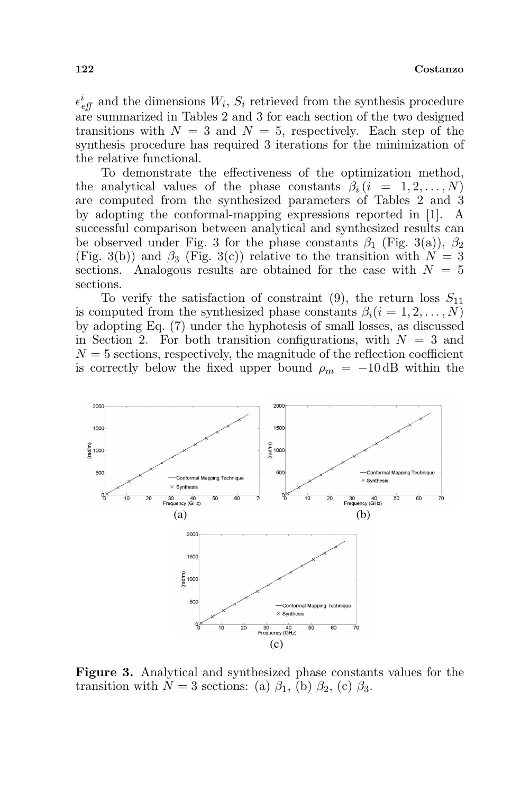#### 122 Costanzo

 $\epsilon_{\text{eff}}^{i}$  and the dimensions  $W_{i}$ ,  $S_{i}$  retrieved from the synthesis procedure are summarized in Tables 2 and 3 for each section of the two designed transitions with  $N = 3$  and  $N = 5$ , respectively. Each step of the synthesis procedure has required 3 iterations for the minimization of the relative functional.

To demonstrate the effectiveness of the optimization method, the analytical values of the phase constants  $\beta_i$  (i = 1, 2, ..., N) are computed from the synthesized parameters of Tables 2 and 3 by adopting the conformal-mapping expressions reported in [1]. A successful comparison between analytical and synthesized results can be observed under Fig. 3 for the phase constants  $\beta_1$  (Fig. 3(a)),  $\beta_2$ (Fig. 3(b)) and  $\beta_3$  (Fig. 3(c)) relative to the transition with  $N = 3$ sections. Analogous results are obtained for the case with  $N = 5$ sections.

To verify the satisfaction of constraint (9), the return loss  $S_{11}$ is computed from the synthesized phase constants  $\beta_i(i = 1, 2, \ldots, N)$ by adopting Eq. (7) under the hyphotesis of small losses, as discussed in Section 2. For both transition configurations, with  $N = 3$  and  $N = 5$  sections, respectively, the magnitude of the reflection coefficient is correctly below the fixed upper bound  $\rho_m = -10$  dB within the



Figure 3. Analytical and synthesized phase constants values for the transition with  $N = 3$  sections: (a)  $\beta_1$ , (b)  $\beta_2$ , (c)  $\beta_3$ .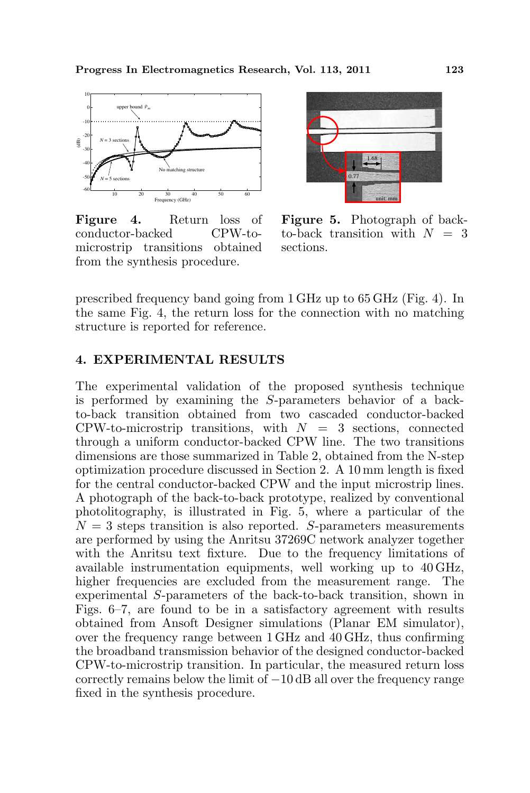

Figure 4. Return loss of conductor-backed CPW-tomicrostrip transitions obtained from the synthesis procedure.



Figure 5. Photograph of backto-back transition with  $N = 3$ sections.

prescribed frequency band going from 1 GHz up to 65 GHz (Fig. 4). In the same Fig. 4, the return loss for the connection with no matching structure is reported for reference.

### 4. EXPERIMENTAL RESULTS

The experimental validation of the proposed synthesis technique is performed by examining the S-parameters behavior of a backto-back transition obtained from two cascaded conductor-backed CPW-to-microstrip transitions, with  $N = 3$  sections, connected through a uniform conductor-backed CPW line. The two transitions dimensions are those summarized in Table 2, obtained from the N-step optimization procedure discussed in Section 2. A 10 mm length is fixed for the central conductor-backed CPW and the input microstrip lines. A photograph of the back-to-back prototype, realized by conventional photolitography, is illustrated in Fig. 5, where a particular of the  $N = 3$  steps transition is also reported. S-parameters measurements are performed by using the Anritsu 37269C network analyzer together with the Anritsu text fixture. Due to the frequency limitations of available instrumentation equipments, well working up to 40 GHz, higher frequencies are excluded from the measurement range. The experimental S-parameters of the back-to-back transition, shown in Figs. 6–7, are found to be in a satisfactory agreement with results obtained from Ansoft Designer simulations (Planar EM simulator), over the frequency range between 1 GHz and 40 GHz, thus confirming the broadband transmission behavior of the designed conductor-backed CPW-to-microstrip transition. In particular, the measured return loss correctly remains below the limit of −10 dB all over the frequency range fixed in the synthesis procedure.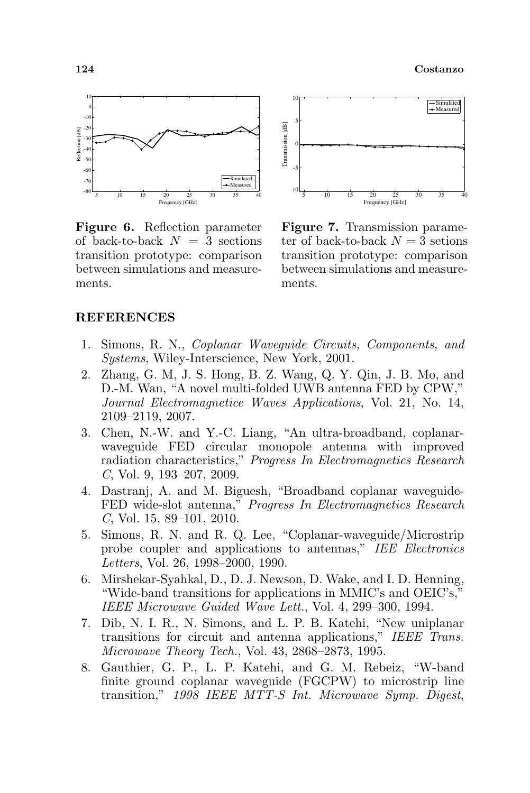

Figure 6. Reflection parameter of back-to-back  $N = 3$  sections transition prototype: comparison between simulations and measurements.



Figure 7. Transmission parameter of back-to-back  $N = 3$  setions transition prototype: comparison between simulations and measurements.

### REFERENCES

- 1. Simons, R. N., Coplanar Waveguide Circuits, Components, and Systems, Wiley-Interscience, New York, 2001.
- 2. Zhang, G. M, J. S. Hong, B. Z. Wang, Q. Y. Qin, J. B. Mo, and D.-M. Wan, "A novel multi-folded UWB antenna FED by CPW," Journal Electromagnetice Waves Applications, Vol. 21, No. 14, 2109–2119, 2007.
- 3. Chen, N.-W. and Y.-C. Liang, "An ultra-broadband, coplanarwaveguide FED circular monopole antenna with improved radiation characteristics," Progress In Electromagnetics Research C, Vol. 9, 193–207, 2009.
- 4. Dastranj, A. and M. Biguesh, "Broadband coplanar waveguide-FED wide-slot antenna," Progress In Electromagnetics Research  $C$ , Vol. 15, 89–101, 2010.
- 5. Simons, R. N. and R. Q. Lee, "Coplanar-waveguide/Microstrip probe coupler and applications to antennas," IEE Electronics Letters, Vol. 26, 1998–2000, 1990.
- 6. Mirshekar-Syahkal, D., D. J. Newson, D. Wake, and I. D. Henning, "Wide-band transitions for applications in MMIC's and OEIC's," IEEE Microwave Guided Wave Lett., Vol. 4, 299–300, 1994.
- 7. Dib, N. I. R., N. Simons, and L. P. B. Katehi, "New uniplanar transitions for circuit and antenna applications," IEEE Trans. Microwave Theory Tech., Vol. 43, 2868–2873, 1995.
- 8. Gauthier, G. P., L. P. Katehi, and G. M. Rebeiz, "W-band finite ground coplanar waveguide (FGCPW) to microstrip line transition," 1998 IEEE MTT-S Int. Microwave Symp. Digest,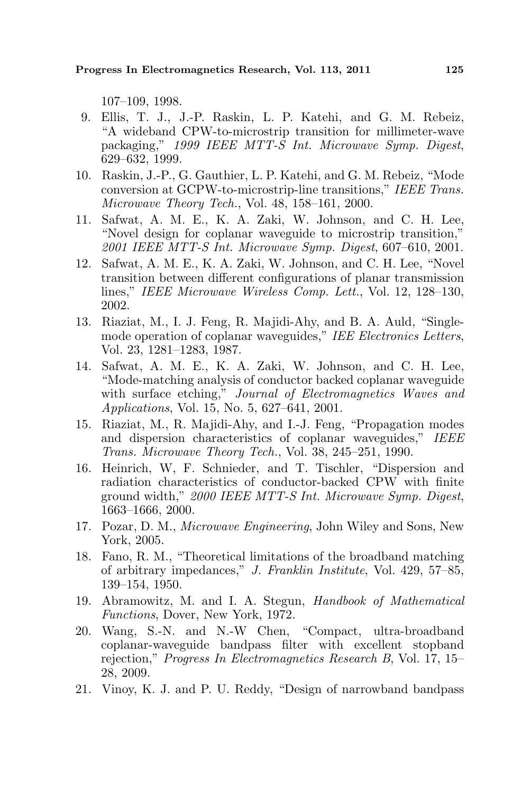107–109, 1998.

- 9. Ellis, T. J., J.-P. Raskin, L. P. Katehi, and G. M. Rebeiz, "A wideband CPW-to-microstrip transition for millimeter-wave packaging," 1999 IEEE MTT-S Int. Microwave Symp. Digest, 629–632, 1999.
- 10. Raskin, J.-P., G. Gauthier, L. P. Katehi, and G. M. Rebeiz, "Mode conversion at GCPW-to-microstrip-line transitions," IEEE Trans. Microwave Theory Tech., Vol. 48, 158–161, 2000.
- 11. Safwat, A. M. E., K. A. Zaki, W. Johnson, and C. H. Lee, "Novel design for coplanar waveguide to microstrip transition," 2001 IEEE MTT-S Int. Microwave Symp. Digest, 607–610, 2001.
- 12. Safwat, A. M. E., K. A. Zaki, W. Johnson, and C. H. Lee, "Novel transition between different configurations of planar transmission lines," IEEE Microwave Wireless Comp. Lett., Vol. 12, 128–130, 2002.
- 13. Riaziat, M., I. J. Feng, R. Majidi-Ahy, and B. A. Auld, "Singlemode operation of coplanar waveguides," IEE Electronics Letters, Vol. 23, 1281–1283, 1987.
- 14. Safwat, A. M. E., K. A. Zaki, W. Johnson, and C. H. Lee, "Mode-matching analysis of conductor backed coplanar waveguide with surface etching," Journal of Electromagnetics Waves and Applications, Vol. 15, No. 5, 627–641, 2001.
- 15. Riaziat, M., R. Majidi-Ahy, and I.-J. Feng, "Propagation modes and dispersion characteristics of coplanar waveguides," IEEE Trans. Microwave Theory Tech., Vol. 38, 245–251, 1990.
- 16. Heinrich, W, F. Schnieder, and T. Tischler, "Dispersion and radiation characteristics of conductor-backed CPW with finite ground width," 2000 IEEE MTT-S Int. Microwave Symp. Digest, 1663–1666, 2000.
- 17. Pozar, D. M., Microwave Engineering, John Wiley and Sons, New York, 2005.
- 18. Fano, R. M., "Theoretical limitations of the broadband matching of arbitrary impedances," J. Franklin Institute, Vol. 429, 57–85, 139–154, 1950.
- 19. Abramowitz, M. and I. A. Stegun, Handbook of Mathematical Functions, Dover, New York, 1972.
- 20. Wang, S.-N. and N.-W Chen, "Compact, ultra-broadband coplanar-waveguide bandpass filter with excellent stopband rejection," Progress In Electromagnetics Research B, Vol. 17, 15– 28, 2009.
- 21. Vinoy, K. J. and P. U. Reddy, "Design of narrowband bandpass